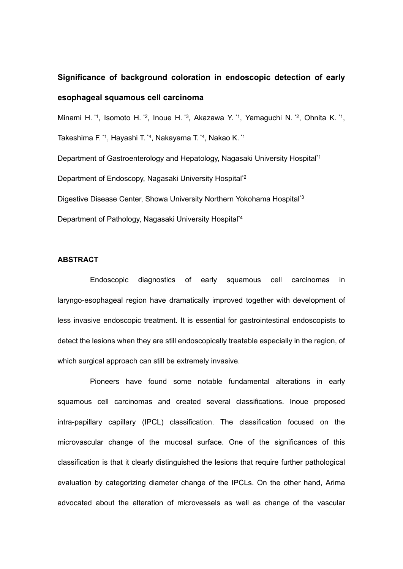## **Significance of background coloration in endoscopic detection of early esophageal squamous cell carcinoma**

Minami H.<sup>\*1</sup>, Isomoto H.<sup>\*2</sup>, Inoue H.<sup>\*3</sup>, Akazawa Y.<sup>\*1</sup>, Yamaguchi N.<sup>\*2</sup>, Ohnita K.<sup>\*1</sup>, Takeshima F. \*1, Hayashi T. \*4, Nakayama T. \*4, Nakao K. \*1 Department of Gastroenterology and Hepatology, Nagasaki University Hospital\*1 Department of Endoscopy, Nagasaki University Hospital\*2 Digestive Disease Center, Showa University Northern Yokohama Hospital\*3 Department of Pathology, Nagasaki University Hospital\*4

### **ABSTRACT**

Endoscopic diagnostics of early squamous cell carcinomas in laryngo-esophageal region have dramatically improved together with development of less invasive endoscopic treatment. It is essential for gastrointestinal endoscopists to detect the lesions when they are still endoscopically treatable especially in the region, of which surgical approach can still be extremely invasive.

Pioneers have found some notable fundamental alterations in early squamous cell carcinomas and created several classifications. Inoue proposed intra-papillary capillary (IPCL) classification. The classification focused on the microvascular change of the mucosal surface. One of the significances of this classification is that it clearly distinguished the lesions that require further pathological evaluation by categorizing diameter change of the IPCLs. On the other hand, Arima advocated about the alteration of microvessels as well as change of the vascular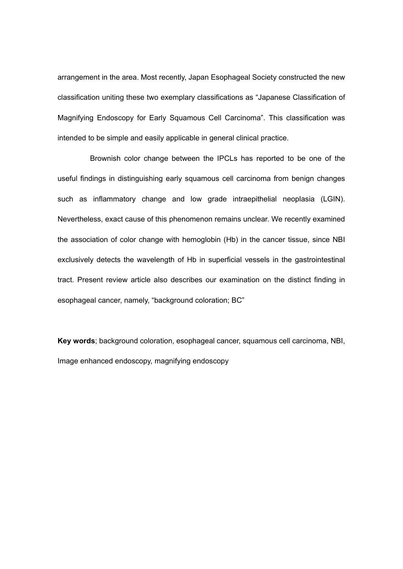arrangement in the area. Most recently, Japan Esophageal Society constructed the new classification uniting these two exemplary classifications as "Japanese Classification of Magnifying Endoscopy for Early Squamous Cell Carcinoma". This classification was intended to be simple and easily applicable in general clinical practice.

Brownish color change between the IPCLs has reported to be one of the useful findings in distinguishing early squamous cell carcinoma from benign changes such as inflammatory change and low grade intraepithelial neoplasia (LGIN). Nevertheless, exact cause of this phenomenon remains unclear. We recently examined the association of color change with hemoglobin (Hb) in the cancer tissue, since NBI exclusively detects the wavelength of Hb in superficial vessels in the gastrointestinal tract. Present review article also describes our examination on the distinct finding in esophageal cancer, namely, "background coloration; BC"

**Key words**; background coloration, esophageal cancer, squamous cell carcinoma, NBI, Image enhanced endoscopy, magnifying endoscopy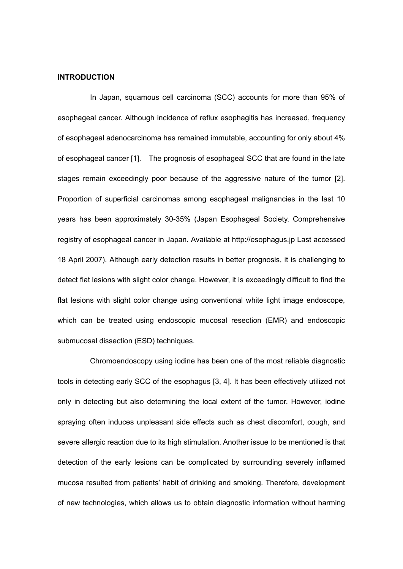### **INTRODUCTION**

In Japan, squamous cell carcinoma (SCC) accounts for more than 95% of esophageal cancer. Although incidence of reflux esophagitis has increased, frequency of esophageal adenocarcinoma has remained immutable, accounting for only about 4% of esophageal cancer [1]. The prognosis of esophageal SCC that are found in the late stages remain exceedingly poor because of the aggressive nature of the tumor [2]. Proportion of superficial carcinomas among esophageal malignancies in the last 10 years has been approximately 30-35% (Japan Esophageal Society. Comprehensive registry of esophageal cancer in Japan. Available at http://esophagus.jp Last accessed 18 April 2007). Although early detection results in better prognosis, it is challenging to detect flat lesions with slight color change. However, it is exceedingly difficult to find the flat lesions with slight color change using conventional white light image endoscope, which can be treated using endoscopic mucosal resection (EMR) and endoscopic submucosal dissection (ESD) techniques.

Chromoendoscopy using iodine has been one of the most reliable diagnostic tools in detecting early SCC of the esophagus [3, 4]. It has been effectively utilized not only in detecting but also determining the local extent of the tumor. However, iodine spraying often induces unpleasant side effects such as chest discomfort, cough, and severe allergic reaction due to its high stimulation. Another issue to be mentioned is that detection of the early lesions can be complicated by surrounding severely inflamed mucosa resulted from patients' habit of drinking and smoking. Therefore, development of new technologies, which allows us to obtain diagnostic information without harming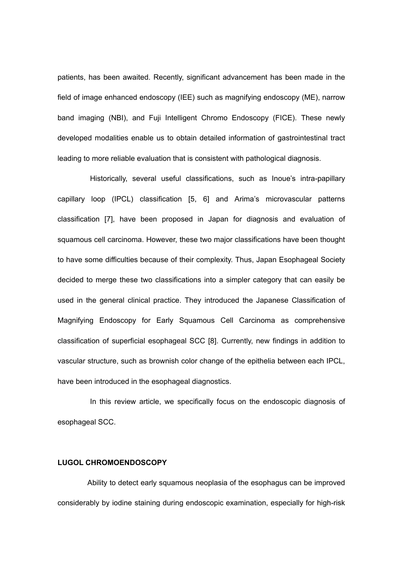patients, has been awaited. Recently, significant advancement has been made in the field of image enhanced endoscopy (IEE) such as magnifying endoscopy (ME), narrow band imaging (NBI), and Fuji Intelligent Chromo Endoscopy (FICE). These newly developed modalities enable us to obtain detailed information of gastrointestinal tract leading to more reliable evaluation that is consistent with pathological diagnosis.

Historically, several useful classifications, such as Inoue's intra-papillary capillary loop (IPCL) classification [5, 6] and Arima's microvascular patterns classification [7], have been proposed in Japan for diagnosis and evaluation of squamous cell carcinoma. However, these two major classifications have been thought to have some difficulties because of their complexity. Thus, Japan Esophageal Society decided to merge these two classifications into a simpler category that can easily be used in the general clinical practice. They introduced the Japanese Classification of Magnifying Endoscopy for Early Squamous Cell Carcinoma as comprehensive classification of superficial esophageal SCC [8]. Currently, new findings in addition to vascular structure, such as brownish color change of the epithelia between each IPCL, have been introduced in the esophageal diagnostics.

In this review article, we specifically focus on the endoscopic diagnosis of esophageal SCC.

### **LUGOL CHROMOENDOSCOPY**

Ability to detect early squamous neoplasia of the esophagus can be improved considerably by iodine staining during endoscopic examination, especially for high-risk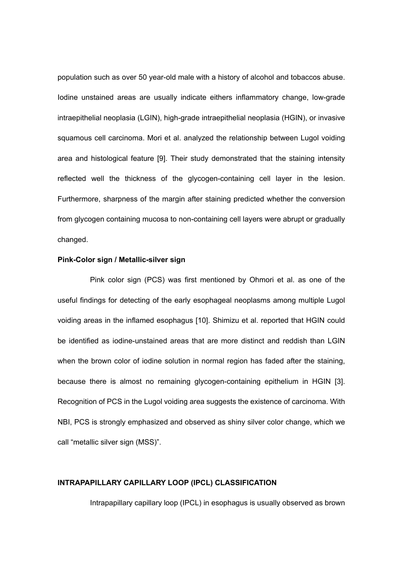population such as over 50 year-old male with a history of alcohol and tobaccos abuse. Iodine unstained areas are usually indicate eithers inflammatory change, low-grade intraepithelial neoplasia (LGIN), high-grade intraepithelial neoplasia (HGIN), or invasive squamous cell carcinoma. Mori et al. analyzed the relationship between Lugol voiding area and histological feature [9]. Their study demonstrated that the staining intensity reflected well the thickness of the glycogen-containing cell layer in the lesion. Furthermore, sharpness of the margin after staining predicted whether the conversion from glycogen containing mucosa to non-containing cell layers were abrupt or gradually changed.

### **Pink-Color sign / Metallic-silver sign**

Pink color sign (PCS) was first mentioned by Ohmori et al. as one of the useful findings for detecting of the early esophageal neoplasms among multiple Lugol voiding areas in the inflamed esophagus [10]. Shimizu et al. reported that HGIN could be identified as iodine-unstained areas that are more distinct and reddish than LGIN when the brown color of iodine solution in normal region has faded after the staining, because there is almost no remaining glycogen-containing epithelium in HGIN [3]. Recognition of PCS in the Lugol voiding area suggests the existence of carcinoma. With NBI, PCS is strongly emphasized and observed as shiny silver color change, which we call "metallic silver sign (MSS)".

### **INTRAPAPILLARY CAPILLARY LOOP (IPCL) CLASSIFICATION**

Intrapapillary capillary loop (IPCL) in esophagus is usually observed as brown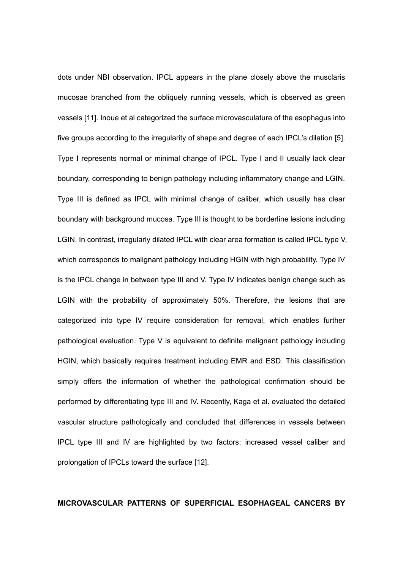dots under NBI observation. IPCL appears in the plane closely above the musclaris mucosae branched from the obliquely running vessels, which is observed as green vessels [11]. Inoue et al categorized the surface microvasculature of the esophagus into five groups according to the irregularity of shape and degree of each IPCL's dilation [5]. Type I represents normal or minimal change of IPCL. Type I and II usually lack clear boundary, corresponding to benign pathology including inflammatory change and LGIN. Type III is defined as IPCL with minimal change of caliber, which usually has clear boundary with background mucosa. Type III is thought to be borderline lesions including LGIN. In contrast, irregularly dilated IPCL with clear area formation is called IPCL type V, which corresponds to malignant pathology including HGIN with high probability. Type IV is the IPCL change in between type III and V. Type IV indicates benign change such as LGIN with the probability of approximately 50%. Therefore, the lesions that are categorized into type IV require consideration for removal, which enables further pathological evaluation. Type V is equivalent to definite malignant pathology including HGIN, which basically requires treatment including EMR and ESD. This classification simply offers the information of whether the pathological confirmation should be performed by differentiating type III and IV. Recently, Kaga et al. evaluated the detailed vascular structure pathologically and concluded that differences in vessels between IPCL type III and IV are highlighted by two factors; increased vessel caliber and prolongation of IPCLs toward the surface [12].

### **MICROVASCULAR PATTERNS OF SUPERFICIAL ESOPHAGEAL CANCERS BY**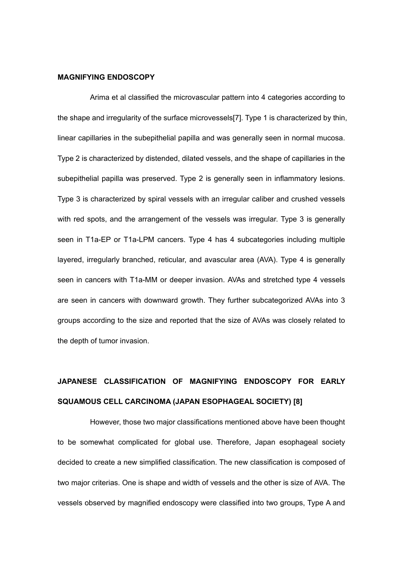### **MAGNIFYING ENDOSCOPY**

Arima et al classified the microvascular pattern into 4 categories according to the shape and irregularity of the surface microvessels[7]. Type 1 is characterized by thin, linear capillaries in the subepithelial papilla and was generally seen in normal mucosa. Type 2 is characterized by distended, dilated vessels, and the shape of capillaries in the subepithelial papilla was preserved. Type 2 is generally seen in inflammatory lesions. Type 3 is characterized by spiral vessels with an irregular caliber and crushed vessels with red spots, and the arrangement of the vessels was irregular. Type 3 is generally seen in T1a-EP or T1a-LPM cancers. Type 4 has 4 subcategories including multiple layered, irregularly branched, reticular, and avascular area (AVA). Type 4 is generally seen in cancers with T1a-MM or deeper invasion. AVAs and stretched type 4 vessels are seen in cancers with downward growth. They further subcategorized AVAs into 3 groups according to the size and reported that the size of AVAs was closely related to the depth of tumor invasion.

# **JAPANESE CLASSIFICATION OF MAGNIFYING ENDOSCOPY FOR EARLY SQUAMOUS CELL CARCINOMA (JAPAN ESOPHAGEAL SOCIETY) [8]**

However, those two major classifications mentioned above have been thought to be somewhat complicated for global use. Therefore, Japan esophageal society decided to create a new simplified classification. The new classification is composed of two major criterias. One is shape and width of vessels and the other is size of AVA. The vessels observed by magnified endoscopy were classified into two groups, Type A and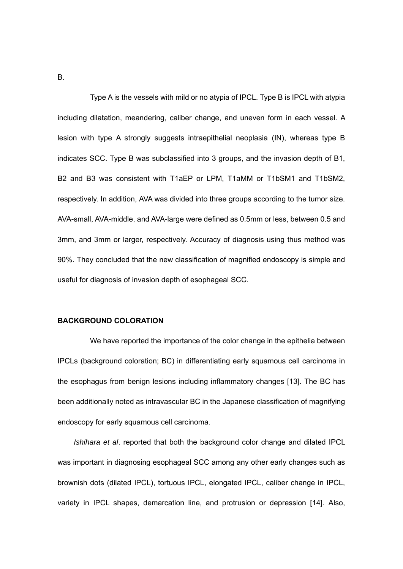B.

Type A is the vessels with mild or no atypia of IPCL. Type B is IPCL with atypia including dilatation, meandering, caliber change, and uneven form in each vessel. A lesion with type A strongly suggests intraepithelial neoplasia (IN), whereas type B indicates SCC. Type B was subclassified into 3 groups, and the invasion depth of B1, B2 and B3 was consistent with T1aEP or LPM, T1aMM or T1bSM1 and T1bSM2, respectively. In addition, AVA was divided into three groups according to the tumor size. AVA-small, AVA-middle, and AVA-large were defined as 0.5mm or less, between 0.5 and 3mm, and 3mm or larger, respectively. Accuracy of diagnosis using thus method was 90%. They concluded that the new classification of magnified endoscopy is simple and useful for diagnosis of invasion depth of esophageal SCC.

#### **BACKGROUND COLORATION**

We have reported the importance of the color change in the epithelia between IPCLs (background coloration; BC) in differentiating early squamous cell carcinoma in the esophagus from benign lesions including inflammatory changes [13]. The BC has been additionally noted as intravascular BC in the Japanese classification of magnifying endoscopy for early squamous cell carcinoma.

*Ishihara et al*. reported that both the background color change and dilated IPCL was important in diagnosing esophageal SCC among any other early changes such as brownish dots (dilated IPCL), tortuous IPCL, elongated IPCL, caliber change in IPCL, variety in IPCL shapes, demarcation line, and protrusion or depression [14]. Also,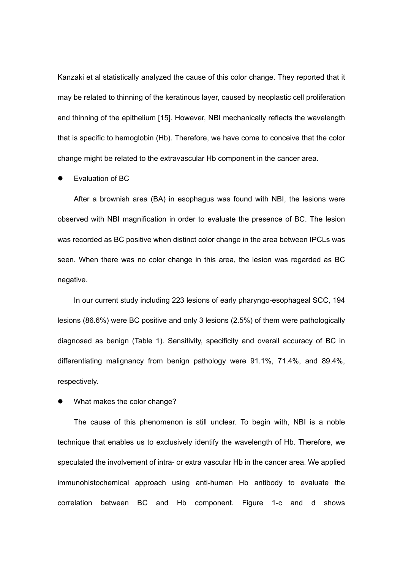Kanzaki et al statistically analyzed the cause of this color change. They reported that it may be related to thinning of the keratinous layer, caused by neoplastic cell proliferation and thinning of the epithelium [15]. However, NBI mechanically reflects the wavelength that is specific to hemoglobin (Hb). Therefore, we have come to conceive that the color change might be related to the extravascular Hb component in the cancer area.

Evaluation of BC

After a brownish area (BA) in esophagus was found with NBI, the lesions were observed with NBI magnification in order to evaluate the presence of BC. The lesion was recorded as BC positive when distinct color change in the area between IPCLs was seen. When there was no color change in this area, the lesion was regarded as BC negative.

In our current study including 223 lesions of early pharyngo-esophageal SCC, 194 lesions (86.6%) were BC positive and only 3 lesions (2.5%) of them were pathologically diagnosed as benign (Table 1). Sensitivity, specificity and overall accuracy of BC in differentiating malignancy from benign pathology were 91.1%, 71.4%, and 89.4%, respectively.

What makes the color change?

The cause of this phenomenon is still unclear. To begin with, NBI is a noble technique that enables us to exclusively identify the wavelength of Hb. Therefore, we speculated the involvement of intra- or extra vascular Hb in the cancer area. We applied immunohistochemical approach using anti-human Hb antibody to evaluate the correlation between BC and Hb component. Figure 1-c and d shows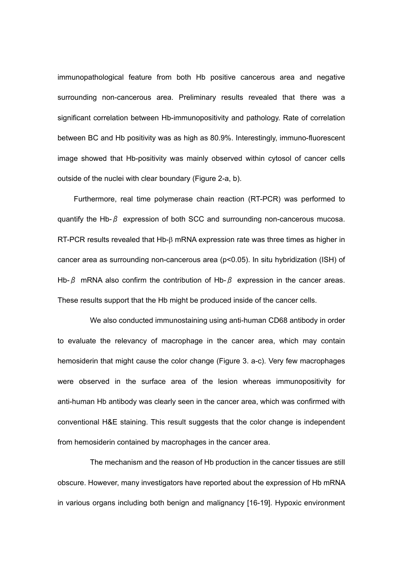immunopathological feature from both Hb positive cancerous area and negative surrounding non-cancerous area. Preliminary results revealed that there was a significant correlation between Hb-immunopositivity and pathology. Rate of correlation between BC and Hb positivity was as high as 80.9%. Interestingly, immuno-fluorescent image showed that Hb-positivity was mainly observed within cytosol of cancer cells outside of the nuclei with clear boundary (Figure 2-a, b).

Furthermore, real time polymerase chain reaction (RT-PCR) was performed to quantify the Hb- $\beta$  expression of both SCC and surrounding non-cancerous mucosa. RT-PCR results revealed that Hb-β mRNA expression rate was three times as higher in cancer area as surrounding non-cancerous area (p<0.05). In situ hybridization (ISH) of Hb- $\beta$  mRNA also confirm the contribution of Hb- $\beta$  expression in the cancer areas. These results support that the Hb might be produced inside of the cancer cells.

 We also conducted immunostaining using anti-human CD68 antibody in order to evaluate the relevancy of macrophage in the cancer area, which may contain hemosiderin that might cause the color change (Figure 3. a-c). Very few macrophages were observed in the surface area of the lesion whereas immunopositivity for anti-human Hb antibody was clearly seen in the cancer area, which was confirmed with conventional H&E staining. This result suggests that the color change is independent from hemosiderin contained by macrophages in the cancer area.

The mechanism and the reason of Hb production in the cancer tissues are still obscure. However, many investigators have reported about the expression of Hb mRNA in various organs including both benign and malignancy [16-19]. Hypoxic environment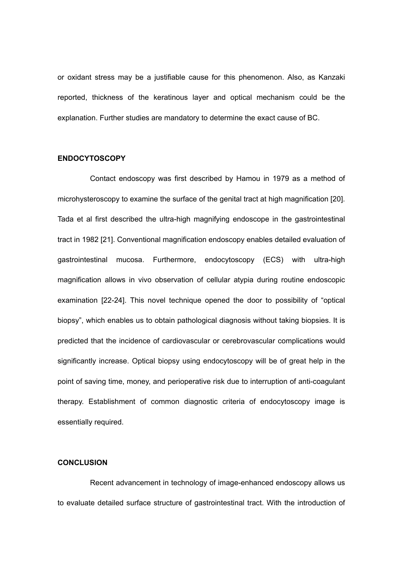or oxidant stress may be a justifiable cause for this phenomenon. Also, as Kanzaki reported, thickness of the keratinous layer and optical mechanism could be the explanation. Further studies are mandatory to determine the exact cause of BC.

### **ENDOCYTOSCOPY**

Contact endoscopy was first described by Hamou in 1979 as a method of microhysteroscopy to examine the surface of the genital tract at high magnification [20]. Tada et al first described the ultra-high magnifying endoscope in the gastrointestinal tract in 1982 [21]. Conventional magnification endoscopy enables detailed evaluation of gastrointestinal mucosa. Furthermore, endocytoscopy (ECS) with ultra-high magnification allows in vivo observation of cellular atypia during routine endoscopic examination [22-24]. This novel technique opened the door to possibility of "optical biopsy", which enables us to obtain pathological diagnosis without taking biopsies. It is predicted that the incidence of cardiovascular or cerebrovascular complications would significantly increase. Optical biopsy using endocytoscopy will be of great help in the point of saving time, money, and perioperative risk due to interruption of anti-coagulant therapy. Establishment of common diagnostic criteria of endocytoscopy image is essentially required.

### **CONCLUSION**

Recent advancement in technology of image-enhanced endoscopy allows us to evaluate detailed surface structure of gastrointestinal tract. With the introduction of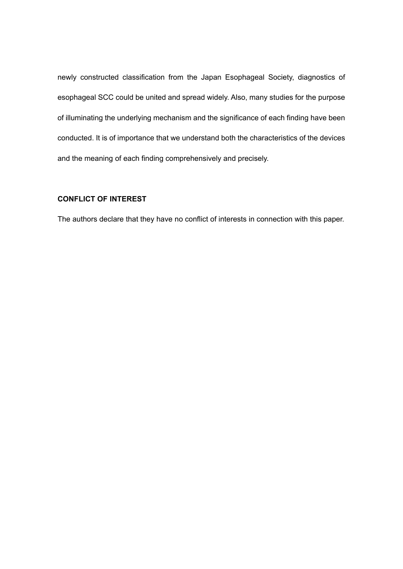newly constructed classification from the Japan Esophageal Society, diagnostics of esophageal SCC could be united and spread widely. Also, many studies for the purpose of illuminating the underlying mechanism and the significance of each finding have been conducted. It is of importance that we understand both the characteristics of the devices and the meaning of each finding comprehensively and precisely.

## **CONFLICT OF INTEREST**

The authors declare that they have no conflict of interests in connection with this paper.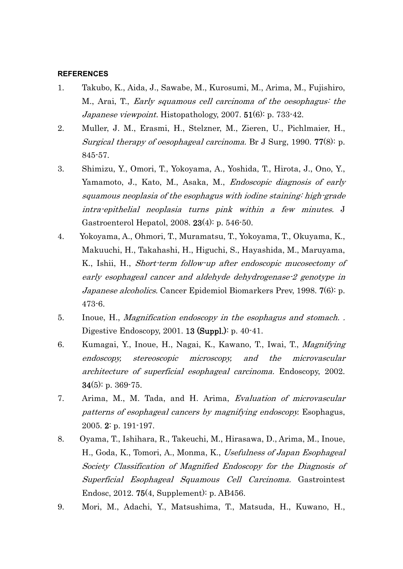### **REFERENCES**

- 1. Takubo, K., Aida, J., Sawabe, M., Kurosumi, M., Arima, M., Fujishiro, M., Arai, T., Early squamous cell carcinoma of the oesophagus: the Japanese viewpoint. Histopathology, 2007. 51(6): p. 733-42.
- 2. Muller, J. M., Erasmi, H., Stelzner, M., Zieren, U., Pichlmaier, H., Surgical therapy of oesophageal carcinoma. Br J Surg, 1990. 77(8): p. 845-57.
- 3. Shimizu, Y., Omori, T., Yokoyama, A., Yoshida, T., Hirota, J., Ono, Y., Yamamoto, J., Kato, M., Asaka, M., Endoscopic diagnosis of early squamous neoplasia of the esophagus with iodine staining: high-grade intra-epithelial neoplasia turns pink within a few minutes. J Gastroenterol Hepatol, 2008. 23(4): p. 546-50.
- 4. Yokoyama, A., Ohmori, T., Muramatsu, T., Yokoyama, T., Okuyama, K., Makuuchi, H., Takahashi, H., Higuchi, S., Hayashida, M., Maruyama, K., Ishii, H., Short-term follow-up after endoscopic mucosectomy of early esophageal cancer and aldehyde dehydrogenase-2 genotype in Japanese alcoholics. Cancer Epidemiol Biomarkers Prev, 1998. 7(6): p. 473-6.
- 5. Inoue, H., Magnification endoscopy in the esophagus and stomach. . Digestive Endoscopy, 2001. 13 (Suppl.): p. 40-41.
- 6. Kumagai, Y., Inoue, H., Nagai, K., Kawano, T., Iwai, T., Magnifying endoscopy, stereoscopic microscopy, and the microvascular architecture of superficial esophageal carcinoma. Endoscopy, 2002.  $34(5)$ : p. 369-75.
- 7. Arima, M., M. Tada, and H. Arima, Evaluation of microvascular patterns of esophageal cancers by magnifying endoscopy. Esophagus, 2005. 2: p. 191-197.
- 8. Oyama, T., Ishihara, R., Takeuchi, M., Hirasawa, D., Arima, M., Inoue, H., Goda, K., Tomori, A., Monma, K., Usefulness of Japan Esophageal Society Classification of Magnified Endoscopy for the Diagnosis of Superficial Esophageal Squamous Cell Carcinoma. Gastrointest Endosc, 2012. 75(4, Supplement): p. AB456.
- 9. Mori, M., Adachi, Y., Matsushima, T., Matsuda, H., Kuwano, H.,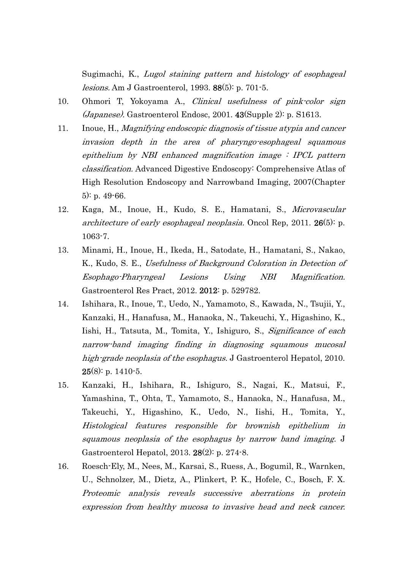Sugimachi, K., Lugol staining pattern and histology of esophageal lesions. Am J Gastroenterol, 1993. 88(5): p. 701-5.

- 10. Ohmori T, Yokoyama A., Clinical usefulness of pink-color sign (Japanese). Gastroenterol Endosc, 2001. 43(Supple 2): p. S1613.
- 11. Inoue, H., Magnifying endoscopic diagnosis of tissue atypia and cancer invasion depth in the area of pharyngo-esophageal squamous epithelium by NBI enhanced magnification image  $\div$  IPCL pattern classification. Advanced Digestive Endoscopy: Comprehensive Atlas of High Resolution Endoscopy and Narrowband Imaging, 2007(Chapter 5): p. 49-66.
- 12. Kaga, M., Inoue, H., Kudo, S. E., Hamatani, S., Microvascular architecture of early esophageal neoplasia. Oncol Rep, 2011. 26(5): p. 1063-7.
- 13. Minami, H., Inoue, H., Ikeda, H., Satodate, H., Hamatani, S., Nakao, K., Kudo, S. E., Usefulness of Background Coloration in Detection of Esophago-Pharyngeal Lesions Using NBI Magnification. Gastroenterol Res Pract, 2012. 2012: p. 529782.
- 14. Ishihara, R., Inoue, T., Uedo, N., Yamamoto, S., Kawada, N., Tsujii, Y., Kanzaki, H., Hanafusa, M., Hanaoka, N., Takeuchi, Y., Higashino, K., Iishi, H., Tatsuta, M., Tomita, Y., Ishiguro, S., Significance of each narrow-band imaging finding in diagnosing squamous mucosal high-grade neoplasia of the esophagus. J Gastroenterol Hepatol, 2010.  $25(8)$ : p. 1410-5.
- 15. Kanzaki, H., Ishihara, R., Ishiguro, S., Nagai, K., Matsui, F., Yamashina, T., Ohta, T., Yamamoto, S., Hanaoka, N., Hanafusa, M., Takeuchi, Y., Higashino, K., Uedo, N., Iishi, H., Tomita, Y., Histological features responsible for brownish epithelium in squamous neoplasia of the esophagus by narrow band imaging. J Gastroenterol Hepatol, 2013. 28(2): p. 274-8.
- 16. Roesch-Ely, M., Nees, M., Karsai, S., Ruess, A., Bogumil, R., Warnken, U., Schnolzer, M., Dietz, A., Plinkert, P. K., Hofele, C., Bosch, F. X. Proteomic analysis reveals successive aberrations in protein expression from healthy mucosa to invasive head and neck cancer.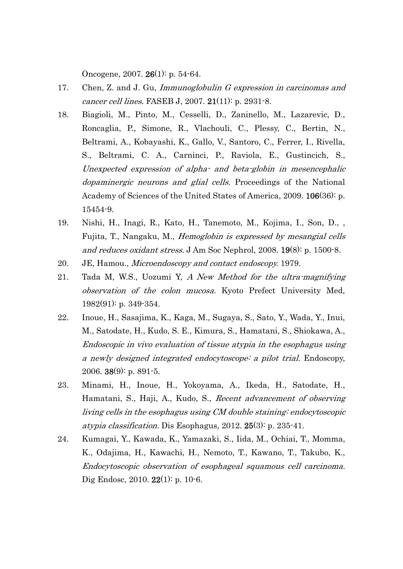Oncogene, 2007. 26(1): p. 54-64.

- 17. Chen, Z. and J. Gu, Immunoglobulin G expression in carcinomas and cancer cell lines. FASEB J, 2007. 21(11): p. 2931-8.
- 18. Biagioli, M., Pinto, M., Cesselli, D., Zaninello, M., Lazarevic, D., Roncaglia, P., Simone, R., Vlachouli, C., Plessy, C., Bertin, N., Beltrami, A., Kobayashi, K., Gallo, V., Santoro, C., Ferrer, I., Rivella, S., Beltrami, C. A., Carninci, P., Raviola, E., Gustincich, S., Unexpected expression of alpha- and beta-globin in mesencephalic dopaminergic neurons and glial cells. Proceedings of the National Academy of Sciences of the United States of America, 2009. 106(36): p. 15454-9.
- 19. Nishi, H., Inagi, R., Kato, H., Tanemoto, M., Kojima, I., Son, D., , Fujita, T., Nangaku, M., Hemoglobin is expressed by mesangial cells and reduces oxidant stress. J Am Soc Nephrol, 2008. 19(8): p. 1500-8.
- 20. JE, Hamou., Microendoscopy and contact endoscopy. 1979.
- 21. Tada M, W.S., Uozumi Y, A New Method for the ultra-magnifying observation of the colon mucosa. Kyoto Prefect University Med, 1982(91): p. 349-354.
- 22. Inoue, H., Sasajima, K., Kaga, M., Sugaya, S., Sato, Y., Wada, Y., Inui, M., Satodate, H., Kudo, S. E., Kimura, S., Hamatani, S., Shiokawa, A., Endoscopic in vivo evaluation of tissue atypia in the esophagus using a newly designed integrated endocytoscope: a pilot trial. Endoscopy, 2006. 38(9): p. 891-5.
- 23. Minami, H., Inoue, H., Yokoyama, A., Ikeda, H., Satodate, H., Hamatani, S., Haji, A., Kudo, S., Recent advancement of observing living cells in the esophagus using CM double staining: endocytoscopic atypia classification. Dis Esophagus, 2012. 25(3): p. 235-41.
- 24. Kumagai, Y., Kawada, K., Yamazaki, S., Iida, M., Ochiai, T., Momma, K., Odajima, H., Kawachi, H., Nemoto, T., Kawano, T., Takubo, K., Endocytoscopic observation of esophageal squamous cell carcinoma. Dig Endosc, 2010. 22(1): p. 10-6.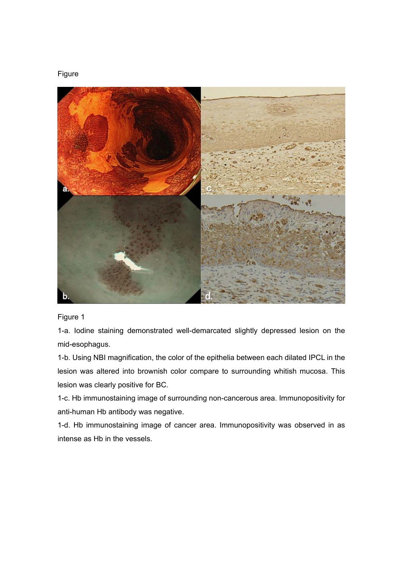## Figure



Figure 1

1-a. Iodine staining demonstrated well-demarcated slightly depressed lesion on the mid-esophagus.

1-b. Using NBI magnification, the color of the epithelia between each dilated IPCL in the lesion was altered into brownish color compare to surrounding whitish mucosa. This lesion was clearly positive for BC.

1-c. Hb immunostaining image of surrounding non-cancerous area. Immunopositivity for anti-human Hb antibody was negative.

1-d. Hb immunostaining image of cancer area. Immunopositivity was observed in as intense as Hb in the vessels.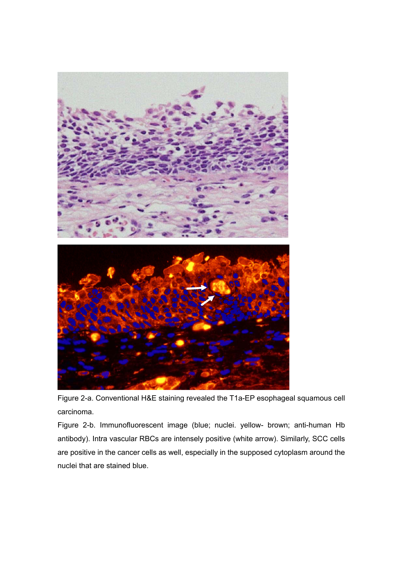

Figure 2-a. Conventional H&E staining revealed the T1a-EP esophageal squamous cell carcinoma.

Figure 2-b. Immunofluorescent image (blue; nuclei. yellow- brown; anti-human Hb antibody). Intra vascular RBCs are intensely positive (white arrow). Similarly, SCC cells are positive in the cancer cells as well, especially in the supposed cytoplasm around the nuclei that are stained blue.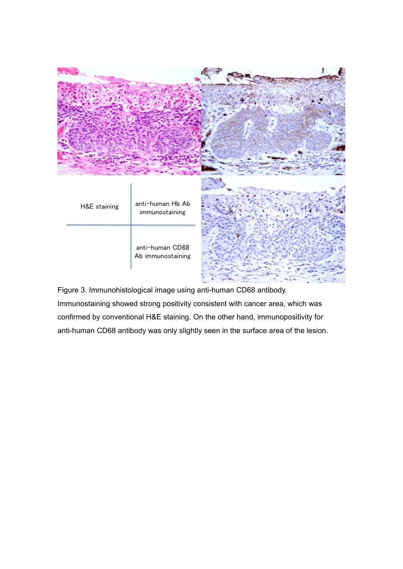

Figure 3. Immunohistological image using anti-human CD68 antibody. Immunostaining showed strong positivity consistent with cancer area, which was confirmed by conventional H&E staining. On the other hand, immunopositivity for anti-human CD68 antibody was only slightly seen in the surface area of the lesion.